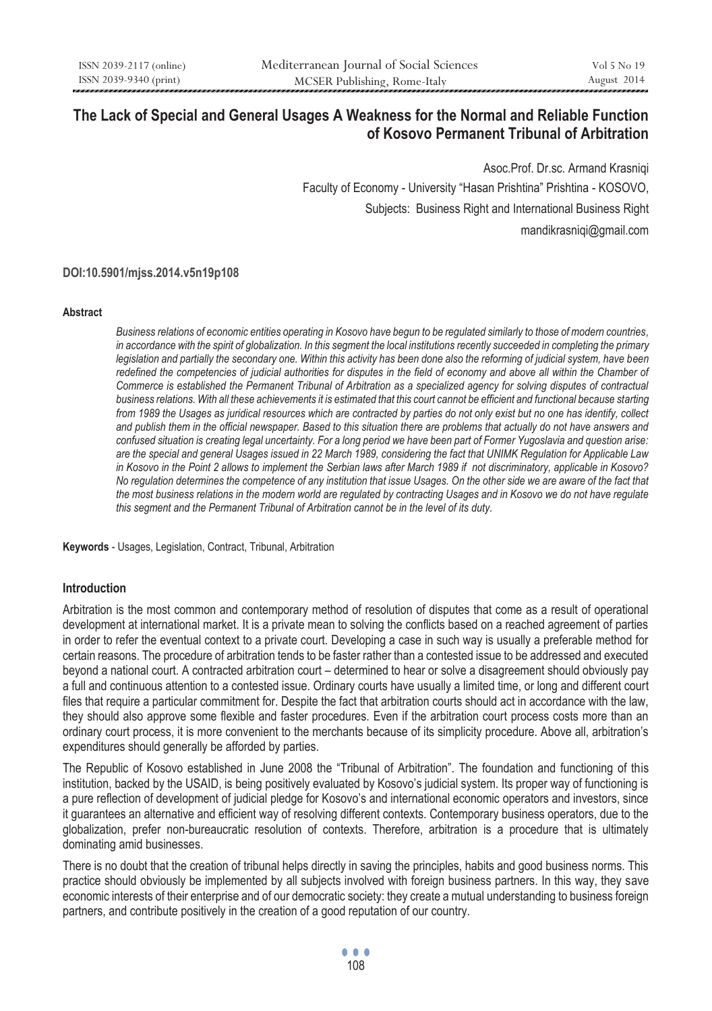# **The Lack of Special and General Usages A Weakness for the Normal and Reliable Function of Kosovo Permanent Tribunal of Arbitration**

 Asoc.Prof. Dr.sc. Armand Krasniqi Faculty of Economy - University "Hasan Prishtina" Prishtina - KOSOVO, Subjects: Business Right and International Business Right mandikrasniqi@gmail.com

**DOI:10.5901/mjss.2014.v5n19p108**

#### **Abstract**

*Business relations of economic entities operating in Kosovo have begun to be regulated similarly to those of modern countries, in accordance with the spirit of globalization. In this segment the local institutions recently succeeded in completing the primary legislation and partially the secondary one. Within this activity has been done also the reforming of judicial system, have been* redefined the competencies of judicial authorities for disputes in the field of economy and above all within the Chamber of *Commerce is established the Permanent Tribunal of Arbitration as a specialized agency for solving disputes of contractual business relations. With all these achievements it is estimated that this court cannot be efficient and functional because starting from 1989 the Usages as juridical resources which are contracted by parties do not only exist but no one has identify, collect and publish them in the official newspaper. Based to this situation there are problems that actually do not have answers and confused situation is creating legal uncertainty. For a long period we have been part of Former Yugoslavia and question arise: are the special and general Usages issued in 22 March 1989, considering the fact that UNIMK Regulation for Applicable Law in Kosovo in the Point 2 allows to implement the Serbian laws after March 1989 if not discriminatory, applicable in Kosovo? No regulation determines the competence of any institution that issue Usages. On the other side we are aware of the fact that*  the most business relations in the modern world are regulated by contracting Usages and in Kosovo we do not have regulate *this segment and the Permanent Tribunal of Arbitration cannot be in the level of its duty.* 

**Keywords** - Usages, Legislation, Contract, Tribunal, Arbitration

## **Introduction**

Arbitration is the most common and contemporary method of resolution of disputes that come as a result of operational development at international market. It is a private mean to solving the conflicts based on a reached agreement of parties in order to refer the eventual context to a private court. Developing a case in such way is usually a preferable method for certain reasons. The procedure of arbitration tends to be faster rather than a contested issue to be addressed and executed beyond a national court. A contracted arbitration court – determined to hear or solve a disagreement should obviously pay a full and continuous attention to a contested issue. Ordinary courts have usually a limited time, or long and different court files that require a particular commitment for. Despite the fact that arbitration courts should act in accordance with the law, they should also approve some flexible and faster procedures. Even if the arbitration court process costs more than an ordinary court process, it is more convenient to the merchants because of its simplicity procedure. Above all, arbitration's expenditures should generally be afforded by parties.

The Republic of Kosovo established in June 2008 the "Tribunal of Arbitration". The foundation and functioning of this institution, backed by the USAID, is being positively evaluated by Kosovo's judicial system. Its proper way of functioning is a pure reflection of development of judicial pledge for Kosovo's and international economic operators and investors, since it guarantees an alternative and efficient way of resolving different contexts. Contemporary business operators, due to the globalization, prefer non-bureaucratic resolution of contexts. Therefore, arbitration is a procedure that is ultimately dominating amid businesses.

There is no doubt that the creation of tribunal helps directly in saving the principles, habits and good business norms. This practice should obviously be implemented by all subjects involved with foreign business partners. In this way, they save economic interests of their enterprise and of our democratic society: they create a mutual understanding to business foreign partners, and contribute positively in the creation of a good reputation of our country.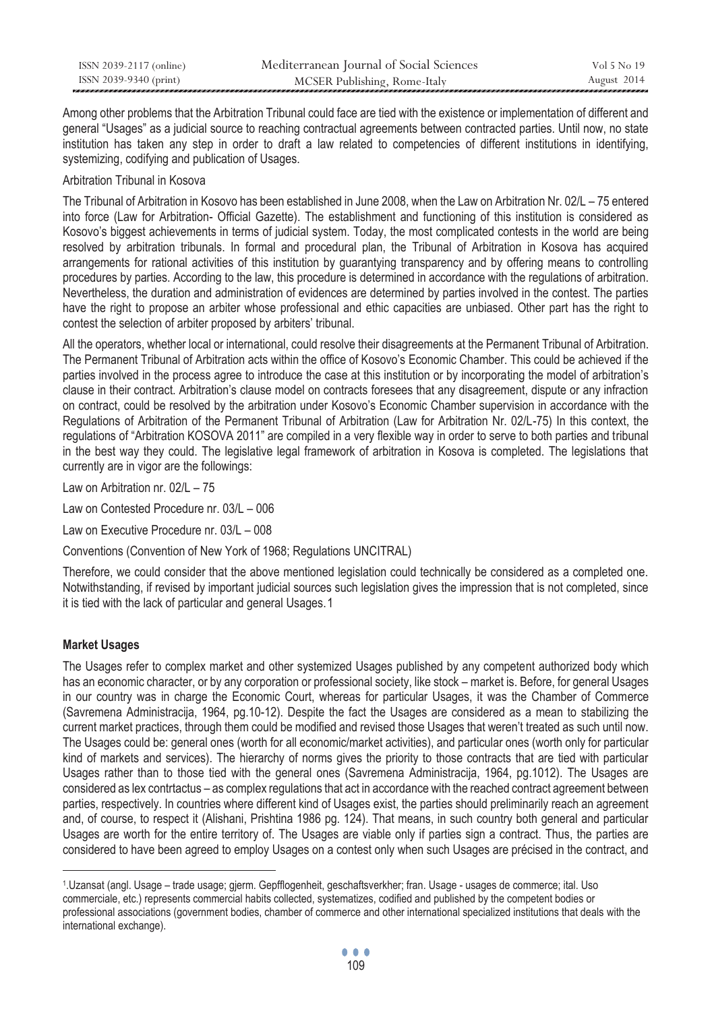| ISSN 2039-2117 (online) | Mediterranean Journal of Social Sciences | Vol 5 No 19 |
|-------------------------|------------------------------------------|-------------|
| ISSN 2039-9340 (print)  | MCSER Publishing, Rome-Italy             | August 2014 |

Among other problems that the Arbitration Tribunal could face are tied with the existence or implementation of different and general "Usages" as a judicial source to reaching contractual agreements between contracted parties. Until now, no state institution has taken any step in order to draft a law related to competencies of different institutions in identifying, systemizing, codifying and publication of Usages.

# Arbitration Tribunal in Kosova

The Tribunal of Arbitration in Kosovo has been established in June 2008, when the Law on Arbitration Nr. 02/L – 75 entered into force (Law for Arbitration- Official Gazette). The establishment and functioning of this institution is considered as Kosovo's biggest achievements in terms of judicial system. Today, the most complicated contests in the world are being resolved by arbitration tribunals. In formal and procedural plan, the Tribunal of Arbitration in Kosova has acquired arrangements for rational activities of this institution by guarantying transparency and by offering means to controlling procedures by parties. According to the law, this procedure is determined in accordance with the regulations of arbitration. Nevertheless, the duration and administration of evidences are determined by parties involved in the contest. The parties have the right to propose an arbiter whose professional and ethic capacities are unbiased. Other part has the right to contest the selection of arbiter proposed by arbiters' tribunal.

All the operators, whether local or international, could resolve their disagreements at the Permanent Tribunal of Arbitration. The Permanent Tribunal of Arbitration acts within the office of Kosovo's Economic Chamber. This could be achieved if the parties involved in the process agree to introduce the case at this institution or by incorporating the model of arbitration's clause in their contract. Arbitration's clause model on contracts foresees that any disagreement, dispute or any infraction on contract, could be resolved by the arbitration under Kosovo's Economic Chamber supervision in accordance with the Regulations of Arbitration of the Permanent Tribunal of Arbitration (Law for Arbitration Nr. 02/L-75) In this context, the regulations of "Arbitration KOSOVA 2011" are compiled in a very flexible way in order to serve to both parties and tribunal in the best way they could. The legislative legal framework of arbitration in Kosova is completed. The legislations that currently are in vigor are the followings:

Law on Arbitration nr. 02/L – 75

Law on Contested Procedure nr. 03/L – 006

Law on Executive Procedure nr. 03/L – 008

Conventions (Convention of New York of 1968; Regulations UNCITRAL)

Therefore, we could consider that the above mentioned legislation could technically be considered as a completed one. Notwithstanding, if revised by important judicial sources such legislation gives the impression that is not completed, since it is tied with the lack of particular and general Usages.1

# **Market Usages**

 $\overline{a}$ 

The Usages refer to complex market and other systemized Usages published by any competent authorized body which has an economic character, or by any corporation or professional society, like stock – market is. Before, for general Usages in our country was in charge the Economic Court, whereas for particular Usages, it was the Chamber of Commerce (Savremena Administracija, 1964, pg.10-12). Despite the fact the Usages are considered as a mean to stabilizing the current market practices, through them could be modified and revised those Usages that weren't treated as such until now. The Usages could be: general ones (worth for all economic/market activities), and particular ones (worth only for particular kind of markets and services). The hierarchy of norms gives the priority to those contracts that are tied with particular Usages rather than to those tied with the general ones (Savremena Administracija, 1964, pg.1012). The Usages are considered as lex contrtactus – as complex regulations that act in accordance with the reached contract agreement between parties, respectively. In countries where different kind of Usages exist, the parties should preliminarily reach an agreement and, of course, to respect it (Alishani, Prishtina 1986 pg. 124). That means, in such country both general and particular Usages are worth for the entire territory of. The Usages are viable only if parties sign a contract. Thus, the parties are considered to have been agreed to employ Usages on a contest only when such Usages are précised in the contract, and

<sup>1.</sup>Uzansat (angl. Usage – trade usage; gjerm. Gepfflogenheit, geschaftsverkher; fran. Usage - usages de commerce; ital. Uso commerciale, etc.) represents commercial habits collected, systematizes, codified and published by the competent bodies or professional associations (government bodies, chamber of commerce and other international specialized institutions that deals with the international exchange).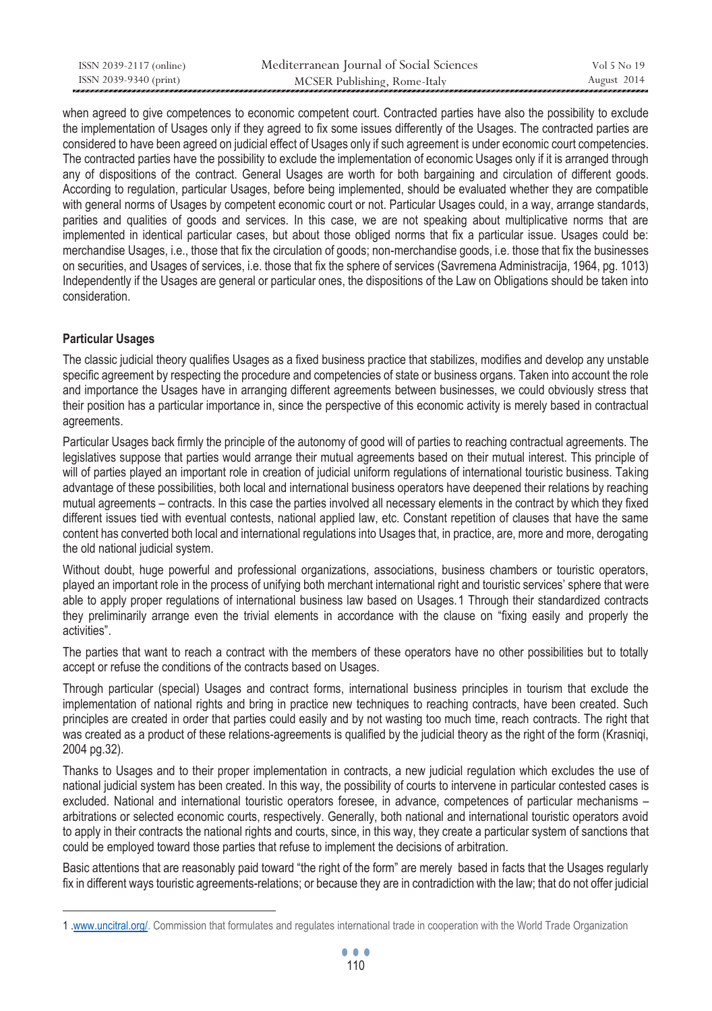| ISSN 2039-2117 (online) | Mediterranean Journal of Social Sciences | Vol 5 No 19 |
|-------------------------|------------------------------------------|-------------|
| ISSN 2039-9340 (print)  | MCSER Publishing, Rome-Italy             | August 2014 |

when agreed to give competences to economic competent court. Contracted parties have also the possibility to exclude the implementation of Usages only if they agreed to fix some issues differently of the Usages. The contracted parties are considered to have been agreed on judicial effect of Usages only if such agreement is under economic court competencies. The contracted parties have the possibility to exclude the implementation of economic Usages only if it is arranged through any of dispositions of the contract. General Usages are worth for both bargaining and circulation of different goods. According to regulation, particular Usages, before being implemented, should be evaluated whether they are compatible with general norms of Usages by competent economic court or not. Particular Usages could, in a way, arrange standards, parities and qualities of goods and services. In this case, we are not speaking about multiplicative norms that are implemented in identical particular cases, but about those obliged norms that fix a particular issue. Usages could be: merchandise Usages, i.e., those that fix the circulation of goods; non-merchandise goods, i.e. those that fix the businesses on securities, and Usages of services, i.e. those that fix the sphere of services (Savremena Administracija, 1964, pg. 1013) Independently if the Usages are general or particular ones, the dispositions of the Law on Obligations should be taken into consideration.

# **Particular Usages**

 $\overline{a}$ 

The classic judicial theory qualifies Usages as a fixed business practice that stabilizes, modifies and develop any unstable specific agreement by respecting the procedure and competencies of state or business organs. Taken into account the role and importance the Usages have in arranging different agreements between businesses, we could obviously stress that their position has a particular importance in, since the perspective of this economic activity is merely based in contractual agreements.

Particular Usages back firmly the principle of the autonomy of good will of parties to reaching contractual agreements. The legislatives suppose that parties would arrange their mutual agreements based on their mutual interest. This principle of will of parties played an important role in creation of judicial uniform regulations of international touristic business. Taking advantage of these possibilities, both local and international business operators have deepened their relations by reaching mutual agreements – contracts. In this case the parties involved all necessary elements in the contract by which they fixed different issues tied with eventual contests, national applied law, etc. Constant repetition of clauses that have the same content has converted both local and international regulations into Usages that, in practice, are, more and more, derogating the old national judicial system.

Without doubt, huge powerful and professional organizations, associations, business chambers or touristic operators, played an important role in the process of unifying both merchant international right and touristic services' sphere that were able to apply proper regulations of international business law based on Usages. 1 Through their standardized contracts they preliminarily arrange even the trivial elements in accordance with the clause on "fixing easily and properly the activities".

The parties that want to reach a contract with the members of these operators have no other possibilities but to totally accept or refuse the conditions of the contracts based on Usages.

Through particular (special) Usages and contract forms, international business principles in tourism that exclude the implementation of national rights and bring in practice new techniques to reaching contracts, have been created. Such principles are created in order that parties could easily and by not wasting too much time, reach contracts. The right that was created as a product of these relations-agreements is qualified by the judicial theory as the right of the form (Krasniqi, 2004 pg.32).

Thanks to Usages and to their proper implementation in contracts, a new judicial regulation which excludes the use of national judicial system has been created. In this way, the possibility of courts to intervene in particular contested cases is excluded. National and international touristic operators foresee, in advance, competences of particular mechanisms – arbitrations or selected economic courts, respectively. Generally, both national and international touristic operators avoid to apply in their contracts the national rights and courts, since, in this way, they create a particular system of sanctions that could be employed toward those parties that refuse to implement the decisions of arbitration.

Basic attentions that are reasonably paid toward "the right of the form" are merely based in facts that the Usages regularly fix in different ways touristic agreements-relations; or because they are in contradiction with the law; that do not offer judicial

<sup>1 .</sup>www.uncitral.org/. Commission that formulates and regulates international trade in cooperation with the World Trade Organization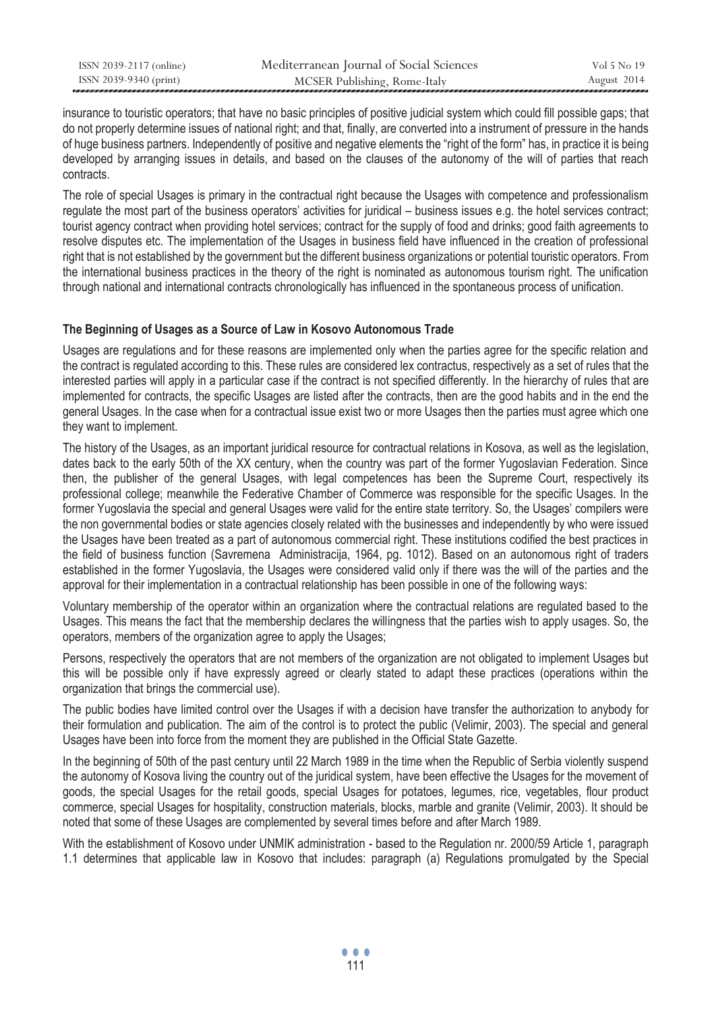| ISSN 2039-2117 (online) | Mediterranean Journal of Social Sciences | Vol 5 No 19 |
|-------------------------|------------------------------------------|-------------|
| ISSN 2039-9340 (print)  | MCSER Publishing, Rome-Italy             | August 2014 |

insurance to touristic operators; that have no basic principles of positive judicial system which could fill possible gaps; that do not properly determine issues of national right; and that, finally, are converted into a instrument of pressure in the hands of huge business partners. Independently of positive and negative elements the "right of the form" has, in practice it is being developed by arranging issues in details, and based on the clauses of the autonomy of the will of parties that reach contracts.

The role of special Usages is primary in the contractual right because the Usages with competence and professionalism regulate the most part of the business operators' activities for juridical – business issues e.g. the hotel services contract; tourist agency contract when providing hotel services; contract for the supply of food and drinks; good faith agreements to resolve disputes etc. The implementation of the Usages in business field have influenced in the creation of professional right that is not established by the government but the different business organizations or potential touristic operators. From the international business practices in the theory of the right is nominated as autonomous tourism right. The unification through national and international contracts chronologically has influenced in the spontaneous process of unification.

## **The Beginning of Usages as a Source of Law in Kosovo Autonomous Trade**

Usages are regulations and for these reasons are implemented only when the parties agree for the specific relation and the contract is regulated according to this. These rules are considered lex contractus, respectively as a set of rules that the interested parties will apply in a particular case if the contract is not specified differently. In the hierarchy of rules that are implemented for contracts, the specific Usages are listed after the contracts, then are the good habits and in the end the general Usages. In the case when for a contractual issue exist two or more Usages then the parties must agree which one they want to implement.

The history of the Usages, as an important juridical resource for contractual relations in Kosova, as well as the legislation, dates back to the early 50th of the XX century, when the country was part of the former Yugoslavian Federation. Since then, the publisher of the general Usages, with legal competences has been the Supreme Court, respectively its professional college; meanwhile the Federative Chamber of Commerce was responsible for the specific Usages. In the former Yugoslavia the special and general Usages were valid for the entire state territory. So, the Usages' compilers were the non governmental bodies or state agencies closely related with the businesses and independently by who were issued the Usages have been treated as a part of autonomous commercial right. These institutions codified the best practices in the field of business function (Savremena Administracija, 1964, pg. 1012). Based on an autonomous right of traders established in the former Yugoslavia, the Usages were considered valid only if there was the will of the parties and the approval for their implementation in a contractual relationship has been possible in one of the following ways:

Voluntary membership of the operator within an organization where the contractual relations are regulated based to the Usages. This means the fact that the membership declares the willingness that the parties wish to apply usages. So, the operators, members of the organization agree to apply the Usages;

Persons, respectively the operators that are not members of the organization are not obligated to implement Usages but this will be possible only if have expressly agreed or clearly stated to adapt these practices (operations within the organization that brings the commercial use).

The public bodies have limited control over the Usages if with a decision have transfer the authorization to anybody for their formulation and publication. The aim of the control is to protect the public (Velimir, 2003). The special and general Usages have been into force from the moment they are published in the Official State Gazette.

In the beginning of 50th of the past century until 22 March 1989 in the time when the Republic of Serbia violently suspend the autonomy of Kosova living the country out of the juridical system, have been effective the Usages for the movement of goods, the special Usages for the retail goods, special Usages for potatoes, legumes, rice, vegetables, flour product commerce, special Usages for hospitality, construction materials, blocks, marble and granite (Velimir, 2003). It should be noted that some of these Usages are complemented by several times before and after March 1989.

With the establishment of Kosovo under UNMIK administration - based to the Regulation nr. 2000/59 Article 1, paragraph 1.1 determines that applicable law in Kosovo that includes: paragraph (a) Regulations promulgated by the Special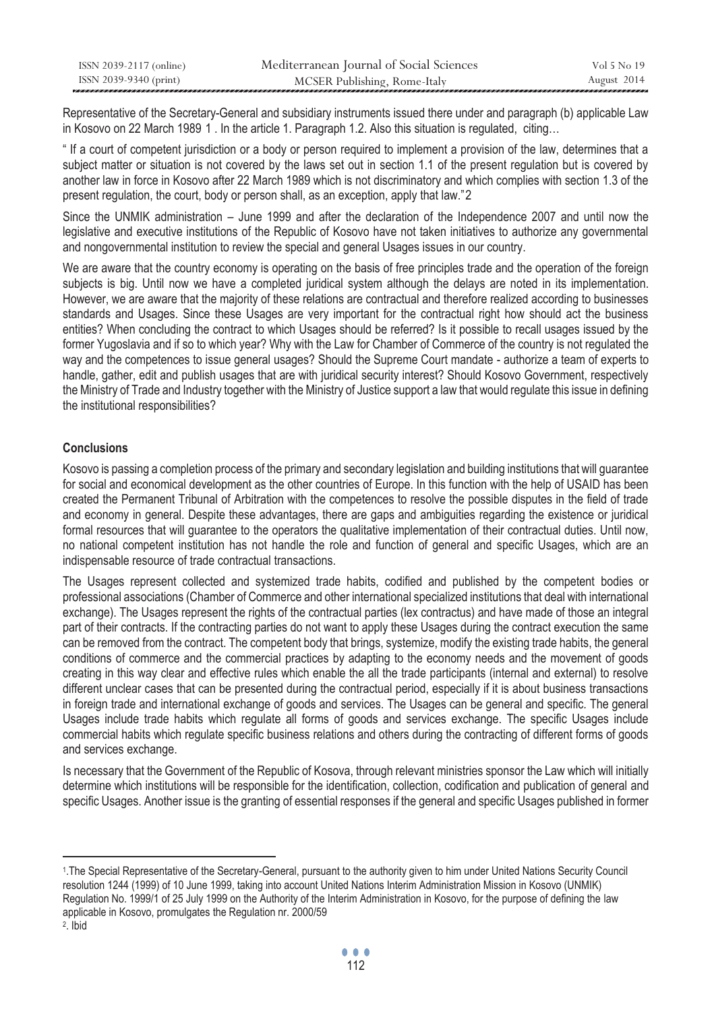| ISSN 2039-2117 (online) | Mediterranean Journal of Social Sciences | Vol 5 No 19 |
|-------------------------|------------------------------------------|-------------|
| ISSN 2039-9340 (print)  | MCSER Publishing, Rome-Italy             | August 2014 |

Representative of the Secretary-General and subsidiary instruments issued there under and paragraph (b) applicable Law in Kosovo on 22 March 1989 1. In the article 1. Paragraph 1.2. Also this situation is regulated, citing...

" If a court of competent jurisdiction or a body or person required to implement a provision of the law, determines that a subject matter or situation is not covered by the laws set out in section 1.1 of the present regulation but is covered by another law in force in Kosovo after 22 March 1989 which is not discriminatory and which complies with section 1.3 of the present regulation, the court, body or person shall, as an exception, apply that law."2

Since the UNMIK administration – June 1999 and after the declaration of the Independence 2007 and until now the legislative and executive institutions of the Republic of Kosovo have not taken initiatives to authorize any governmental and nongovernmental institution to review the special and general Usages issues in our country.

We are aware that the country economy is operating on the basis of free principles trade and the operation of the foreign subjects is big. Until now we have a completed juridical system although the delays are noted in its implementation. However, we are aware that the majority of these relations are contractual and therefore realized according to businesses standards and Usages. Since these Usages are very important for the contractual right how should act the business entities? When concluding the contract to which Usages should be referred? Is it possible to recall usages issued by the former Yugoslavia and if so to which year? Why with the Law for Chamber of Commerce of the country is not regulated the way and the competences to issue general usages? Should the Supreme Court mandate - authorize a team of experts to handle, gather, edit and publish usages that are with juridical security interest? Should Kosovo Government, respectively the Ministry of Trade and Industry together with the Ministry of Justice support a law that would regulate this issue in defining the institutional responsibilities?

# **Conclusions**

Kosovo is passing a completion process of the primary and secondary legislation and building institutions that will guarantee for social and economical development as the other countries of Europe. In this function with the help of USAID has been created the Permanent Tribunal of Arbitration with the competences to resolve the possible disputes in the field of trade and economy in general. Despite these advantages, there are gaps and ambiguities regarding the existence or juridical formal resources that will guarantee to the operators the qualitative implementation of their contractual duties. Until now, no national competent institution has not handle the role and function of general and specific Usages, which are an indispensable resource of trade contractual transactions.

The Usages represent collected and systemized trade habits, codified and published by the competent bodies or professional associations (Chamber of Commerce and other international specialized institutions that deal with international exchange). The Usages represent the rights of the contractual parties (lex contractus) and have made of those an integral part of their contracts. If the contracting parties do not want to apply these Usages during the contract execution the same can be removed from the contract. The competent body that brings, systemize, modify the existing trade habits, the general conditions of commerce and the commercial practices by adapting to the economy needs and the movement of goods creating in this way clear and effective rules which enable the all the trade participants (internal and external) to resolve different unclear cases that can be presented during the contractual period, especially if it is about business transactions in foreign trade and international exchange of goods and services. The Usages can be general and specific. The general Usages include trade habits which regulate all forms of goods and services exchange. The specific Usages include commercial habits which regulate specific business relations and others during the contracting of different forms of goods and services exchange.

Is necessary that the Government of the Republic of Kosova, through relevant ministries sponsor the Law which will initially determine which institutions will be responsible for the identification, collection, codification and publication of general and specific Usages. Another issue is the granting of essential responses if the general and specific Usages published in former

 $\overline{a}$ 

<sup>1.</sup>The Special Representative of the Secretary-General, pursuant to the authority given to him under United Nations Security Council resolution 1244 (1999) of 10 June 1999, taking into account United Nations Interim Administration Mission in Kosovo (UNMIK) Regulation No. 1999/1 of 25 July 1999 on the Authority of the Interim Administration in Kosovo, for the purpose of defining the law applicable in Kosovo, promulgates the Regulation nr. 2000/59 2. Ibid